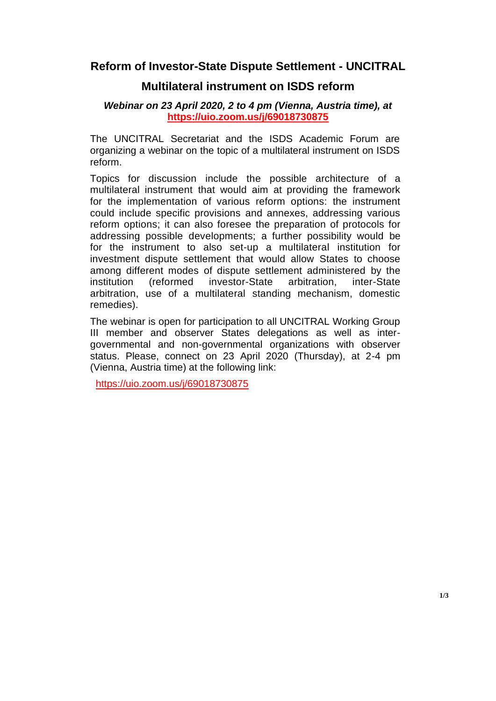## **Reform of Investor-State Dispute Settlement - UNCITRAL**

### **Multilateral instrument on ISDS reform**

#### *Webinar on 23 April 2020, 2 to 4 pm (Vienna, Austria time), at*  **<https://uio.zoom.us/j/69018730875>**

The UNCITRAL Secretariat and the ISDS Academic Forum are organizing a webinar on the topic of a multilateral instrument on ISDS reform.

Topics for discussion include the possible architecture of a multilateral instrument that would aim at providing the framework for the implementation of various reform options: the instrument could include specific provisions and annexes, addressing various reform options; it can also foresee the preparation of protocols for addressing possible developments; a further possibility would be for the instrument to also set-up a multilateral institution for investment dispute settlement that would allow States to choose among different modes of dispute settlement administered by the institution (reformed investor-State arbitration, inter-State arbitration, use of a multilateral standing mechanism, domestic remedies).

The webinar is open for participation to all UNCITRAL Working Group III member and observer States delegations as well as intergovernmental and non-governmental organizations with observer status. Please, connect on 23 April 2020 (Thursday), at 2-4 pm (Vienna, Austria time) at the following link:

<https://uio.zoom.us/j/69018730875>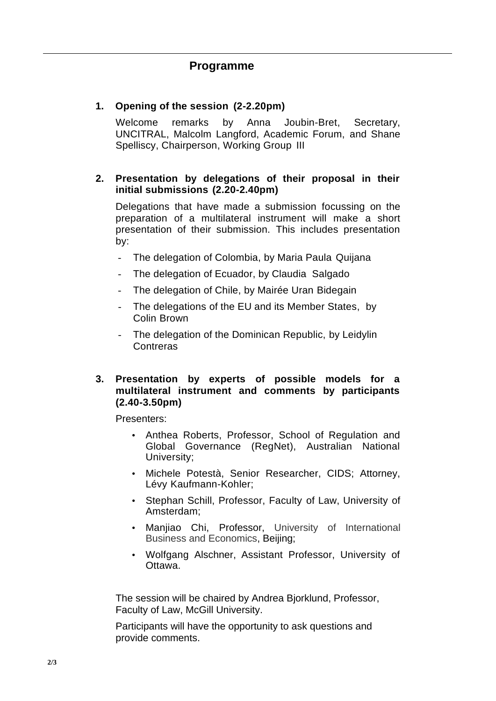# **Programme**

#### **1. Opening of the session (2-2.20pm)**

Welcome remarks by Anna Joubin-Bret, Secretary, UNCITRAL, Malcolm Langford, Academic Forum, and Shane Spelliscy, Chairperson, Working Group III

#### **2. Presentation by delegations of their proposal in their initial submissions (2.20-2.40pm)**

Delegations that have made a submission focussing on the preparation of a multilateral instrument will make a short presentation of their submission. This includes presentation by:

- The delegation of Colombia, by Maria Paula Quijana
- The delegation of Ecuador, by Claudia Salgado
- The delegation of Chile, by Mairée Uran Bidegain
- The delegations of the EU and its Member States, by Colin Brown
- The delegation of the Dominican Republic, by Leidylin Contreras

#### **3. Presentation by experts of possible models for a multilateral instrument and comments by participants (2.40-3.50pm)**

Presenters:

- Anthea Roberts, Professor, School of Regulation and Global Governance (RegNet), Australian National University;
- Michele Potestà, Senior Researcher, CIDS; Attorney, Lévy Kaufmann-Kohler;
- Stephan Schill, Professor, Faculty of Law, University of Amsterdam;
- Manjiao Chi, Professor, University of International Business and Economics, Beijing;
- Wolfgang Alschner, Assistant Professor, University of Ottawa.

The session will be chaired by Andrea Bjorklund, Professor, Faculty of Law, McGill University.

Participants will have the opportunity to ask questions and provide comments.